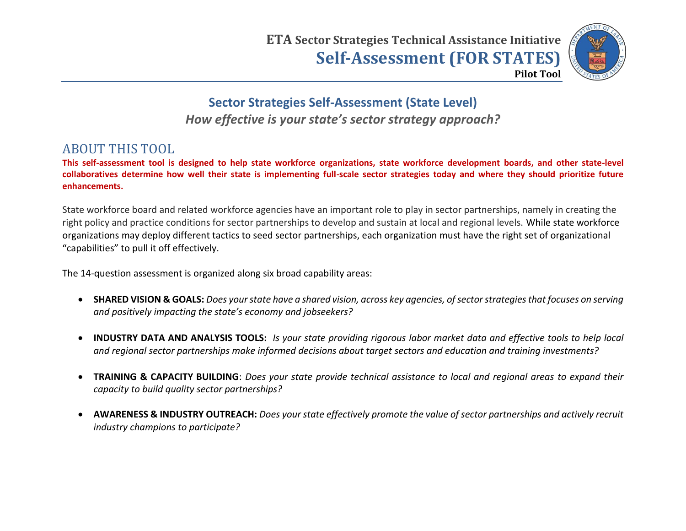

**Sector Strategies Self-Assessment (State Level)** *How effective is your state's sector strategy approach?* 

#### ABOUT THIS TOOL

**This self-assessment tool is designed to help state workforce organizations, state workforce development boards, and other state-level collaboratives determine how well their state is implementing full-scale sector strategies today and where they should prioritize future enhancements.**

State workforce board and related workforce agencies have an important role to play in sector partnerships, namely in creating the right policy and practice conditions for sector partnerships to develop and sustain at local and regional levels. While state workforce organizations may deploy different tactics to seed sector partnerships, each organization must have the right set of organizational "capabilities" to pull it off effectively.

The 14-question assessment is organized along six broad capability areas:

- **SHARED VISION & GOALS:** *Does your state have a shared vision, across key agencies, of sector strategies that focuses on serving and positively impacting the state's economy and jobseekers?*
- **INDUSTRY DATA AND ANALYSIS TOOLS:** *Is your state providing rigorous labor market data and effective tools to help local and regional sector partnerships make informed decisions about target sectors and education and training investments?*
- **TRAINING & CAPACITY BUILDING**: *Does your state provide technical assistance to local and regional areas to expand their capacity to build quality sector partnerships?*
- **AWARENESS & INDUSTRY OUTREACH:** *Does your state effectively promote the value of sector partnerships and actively recruit industry champions to participate?*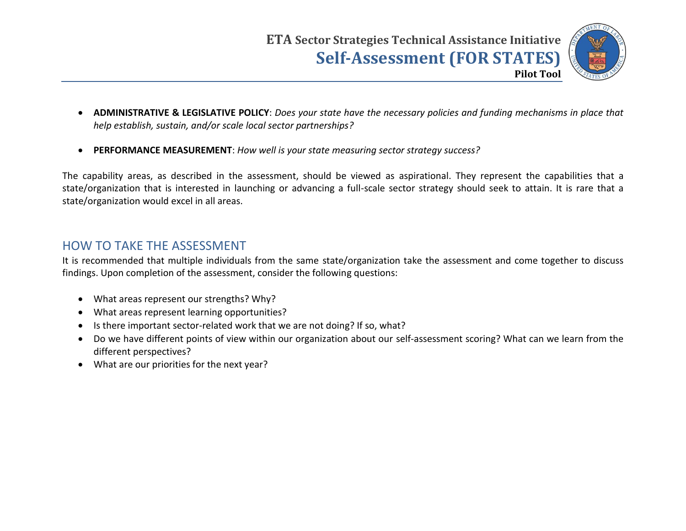

- **ADMINISTRATIVE & LEGISLATIVE POLICY**: *Does your state have the necessary policies and funding mechanisms in place that help establish, sustain, and/or scale local sector partnerships?*
- **PERFORMANCE MEASUREMENT**: *How well is your state measuring sector strategy success?*

The capability areas, as described in the assessment, should be viewed as aspirational. They represent the capabilities that a state/organization that is interested in launching or advancing a full-scale sector strategy should seek to attain. It is rare that a state/organization would excel in all areas.

#### HOW TO TAKE THE ASSESSMENT

It is recommended that multiple individuals from the same state/organization take the assessment and come together to discuss findings. Upon completion of the assessment, consider the following questions:

- What areas represent our strengths? Why?
- What areas represent learning opportunities?
- Is there important sector-related work that we are not doing? If so, what?
- Do we have different points of view within our organization about our self-assessment scoring? What can we learn from the different perspectives?
- What are our priorities for the next year?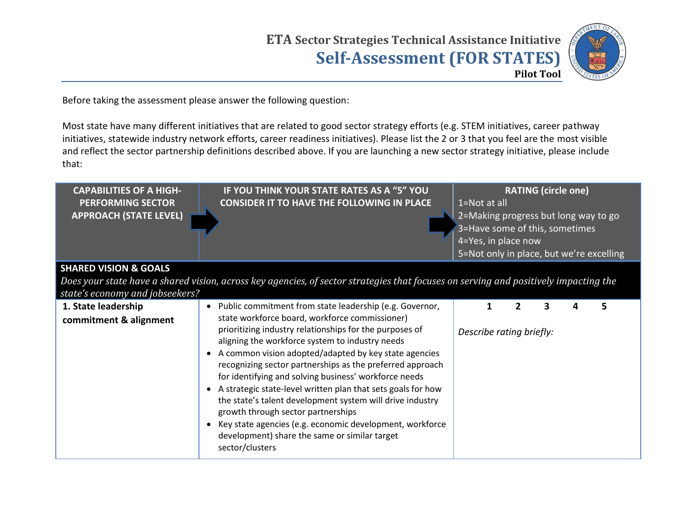

Before taking the assessment please answer the following question:

Most state have many different initiatives that are related to good sector strategy efforts (e.g. STEM initiatives, career pathway initiatives, statewide industry network efforts, career readiness initiatives). Please list the 2 or 3 that you feel are the most visible and reflect the sector partnership definitions described above. If you are launching a new sector strategy initiative, please include that:

| <b>CAPABILITIES OF A HIGH-</b><br><b>PERFORMING SECTOR</b><br><b>APPROACH (STATE LEVEL)</b> | IF YOU THINK YOUR STATE RATES AS A "5" YOU<br><b>CONSIDER IT TO HAVE THE FOLLOWING IN PLACE</b>                                                                                                                                                                                                                                                                                                                                                                                                                                                                                              | 1=Not at all<br>2=Making progress but long way to go<br>3=Have some of this, sometimes<br>4=Yes, in place now<br>5=Not only in place, but we're excelling |   | <b>RATING (circle one)</b> |   |
|---------------------------------------------------------------------------------------------|----------------------------------------------------------------------------------------------------------------------------------------------------------------------------------------------------------------------------------------------------------------------------------------------------------------------------------------------------------------------------------------------------------------------------------------------------------------------------------------------------------------------------------------------------------------------------------------------|-----------------------------------------------------------------------------------------------------------------------------------------------------------|---|----------------------------|---|
| <b>SHARED VISION &amp; GOALS</b>                                                            |                                                                                                                                                                                                                                                                                                                                                                                                                                                                                                                                                                                              |                                                                                                                                                           |   |                            |   |
|                                                                                             | Does your state have a shared vision, across key agencies, of sector strategies that focuses on serving and positively impacting the                                                                                                                                                                                                                                                                                                                                                                                                                                                         |                                                                                                                                                           |   |                            |   |
| state's economy and jobseekers?                                                             |                                                                                                                                                                                                                                                                                                                                                                                                                                                                                                                                                                                              |                                                                                                                                                           |   |                            |   |
| 1. State leadership<br>commitment & alignment                                               | Public commitment from state leadership (e.g. Governor,<br>state workforce board, workforce commissioner)                                                                                                                                                                                                                                                                                                                                                                                                                                                                                    |                                                                                                                                                           | З |                            | 5 |
|                                                                                             | prioritizing industry relationships for the purposes of<br>aligning the workforce system to industry needs<br>A common vision adopted/adapted by key state agencies<br>recognizing sector partnerships as the preferred approach<br>for identifying and solving business' workforce needs<br>A strategic state-level written plan that sets goals for how<br>the state's talent development system will drive industry<br>growth through sector partnerships<br>Key state agencies (e.g. economic development, workforce<br>development) share the same or similar target<br>sector/clusters | Describe rating briefly:                                                                                                                                  |   |                            |   |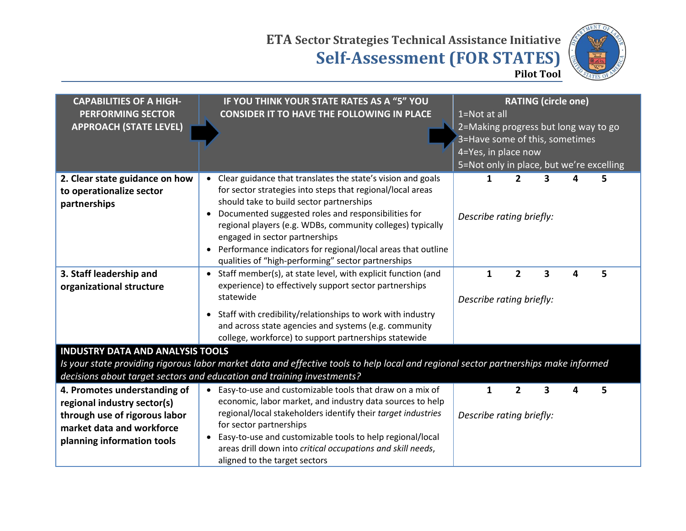

| <b>CAPABILITIES OF A HIGH-</b><br><b>PERFORMING SECTOR</b><br><b>APPROACH (STATE LEVEL)</b>                                                                                                                   | IF YOU THINK YOUR STATE RATES AS A "5" YOU<br><b>CONSIDER IT TO HAVE THE FOLLOWING IN PLACE</b>                                                                                                                                                                                                                                                                                                                                                                              | <b>RATING (circle one)</b><br>1=Not at all<br>2=Making progress but long way to go<br>3=Have some of this, sometimes<br>4=Yes, in place now<br>5=Not only in place, but we're excelling |   |                                            |   |   |   |  |
|---------------------------------------------------------------------------------------------------------------------------------------------------------------------------------------------------------------|------------------------------------------------------------------------------------------------------------------------------------------------------------------------------------------------------------------------------------------------------------------------------------------------------------------------------------------------------------------------------------------------------------------------------------------------------------------------------|-----------------------------------------------------------------------------------------------------------------------------------------------------------------------------------------|---|--------------------------------------------|---|---|---|--|
| 2. Clear state guidance on how<br>to operationalize sector<br>partnerships                                                                                                                                    | Clear guidance that translates the state's vision and goals<br>$\bullet$<br>for sector strategies into steps that regional/local areas<br>should take to build sector partnerships<br>Documented suggested roles and responsibilities for<br>regional players (e.g. WDBs, community colleges) typically<br>engaged in sector partnerships<br>Performance indicators for regional/local areas that outline<br>$\bullet$<br>qualities of "high-performing" sector partnerships |                                                                                                                                                                                         |   | $\overline{2}$<br>Describe rating briefly: | 3 |   | 5 |  |
| 3. Staff leadership and<br>organizational structure                                                                                                                                                           | Staff member(s), at state level, with explicit function (and<br>$\bullet$<br>experience) to effectively support sector partnerships<br>statewide<br>Staff with credibility/relationships to work with industry<br>$\bullet$<br>and across state agencies and systems (e.g. community<br>college, workforce) to support partnerships statewide                                                                                                                                |                                                                                                                                                                                         | 1 | $\overline{2}$<br>Describe rating briefly: | 3 | 4 | 5 |  |
| <b>INDUSTRY DATA AND ANALYSIS TOOLS</b>                                                                                                                                                                       |                                                                                                                                                                                                                                                                                                                                                                                                                                                                              |                                                                                                                                                                                         |   |                                            |   |   |   |  |
| Is your state providing rigorous labor market data and effective tools to help local and regional sector partnerships make informed<br>decisions about target sectors and education and training investments? |                                                                                                                                                                                                                                                                                                                                                                                                                                                                              |                                                                                                                                                                                         |   |                                            |   |   |   |  |
| 4. Promotes understanding of<br>regional industry sector(s)<br>through use of rigorous labor<br>market data and workforce<br>planning information tools                                                       | Easy-to-use and customizable tools that draw on a mix of<br>economic, labor market, and industry data sources to help<br>regional/local stakeholders identify their target industries<br>for sector partnerships<br>Easy-to-use and customizable tools to help regional/local<br>areas drill down into critical occupations and skill needs,<br>aligned to the target sectors                                                                                                |                                                                                                                                                                                         | 1 | $\overline{2}$<br>Describe rating briefly: | 3 |   | 5 |  |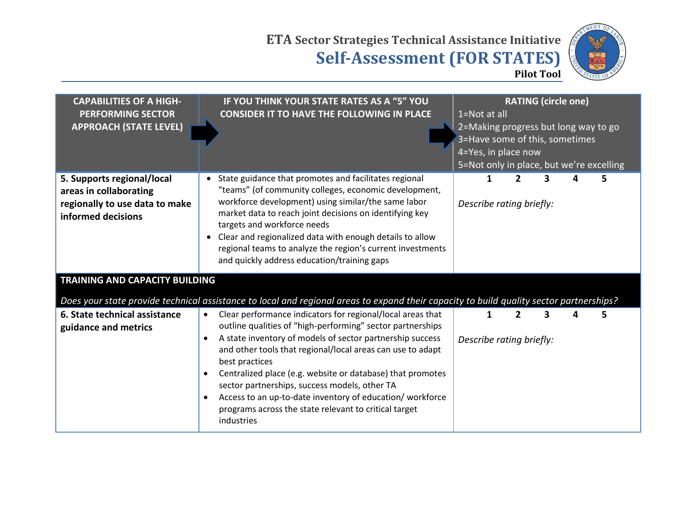

| <b>CAPABILITIES OF A HIGH-</b><br><b>PERFORMING SECTOR</b><br><b>APPROACH (STATE LEVEL)</b>                  | IF YOU THINK YOUR STATE RATES AS A "5" YOU<br><b>CONSIDER IT TO HAVE THE FOLLOWING IN PLACE</b>                                                                                                                                                                                                                                                                                                                                                                                                                                      | 1=Not at all<br>3=Have some of this, sometimes<br>4=Yes, in place now |   | <b>RATING (circle one)</b> | 2=Making progress but long way to go<br>5=Not only in place, but we're excelling |  |
|--------------------------------------------------------------------------------------------------------------|--------------------------------------------------------------------------------------------------------------------------------------------------------------------------------------------------------------------------------------------------------------------------------------------------------------------------------------------------------------------------------------------------------------------------------------------------------------------------------------------------------------------------------------|-----------------------------------------------------------------------|---|----------------------------|----------------------------------------------------------------------------------|--|
| 5. Supports regional/local<br>areas in collaborating<br>regionally to use data to make<br>informed decisions | State guidance that promotes and facilitates regional<br>$\bullet$<br>"teams" (of community colleges, economic development,<br>workforce development) using similar/the same labor<br>market data to reach joint decisions on identifying key<br>targets and workforce needs<br>Clear and regionalized data with enough details to allow<br>regional teams to analyze the region's current investments<br>and quickly address education/training gaps                                                                                | Describe rating briefly:                                              | 1 |                            |                                                                                  |  |
| <b>TRAINING AND CAPACITY BUILDING</b>                                                                        | Does your state provide technical assistance to local and regional areas to expand their capacity to build quality sector partnerships?                                                                                                                                                                                                                                                                                                                                                                                              |                                                                       |   |                            |                                                                                  |  |
| 6. State technical assistance<br>guidance and metrics                                                        | Clear performance indicators for regional/local areas that<br>$\bullet$<br>outline qualities of "high-performing" sector partnerships<br>A state inventory of models of sector partnership success<br>and other tools that regional/local areas can use to adapt<br>best practices<br>Centralized place (e.g. website or database) that promotes<br>sector partnerships, success models, other TA<br>Access to an up-to-date inventory of education/workforce<br>programs across the state relevant to critical target<br>industries | Describe rating briefly:                                              |   |                            | 5                                                                                |  |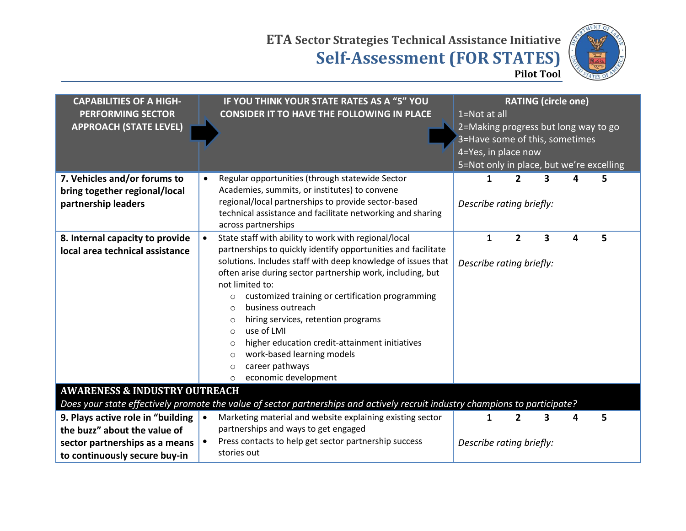

| <b>CAPABILITIES OF A HIGH-</b><br><b>PERFORMING SECTOR</b><br><b>APPROACH (STATE LEVEL)</b>                                          | IF YOU THINK YOUR STATE RATES AS A "5" YOU<br><b>CONSIDER IT TO HAVE THE FOLLOWING IN PLACE</b>                                                                                                                                                                                                                                                                                                                                                                                                                                                                                                                                       | 1=Not at all |              | <b>RATING (circle one)</b><br>4=Yes, in place now |   | 2=Making progress but long way to go<br>3=Have some of this, sometimes | 5=Not only in place, but we're excelling |  |
|--------------------------------------------------------------------------------------------------------------------------------------|---------------------------------------------------------------------------------------------------------------------------------------------------------------------------------------------------------------------------------------------------------------------------------------------------------------------------------------------------------------------------------------------------------------------------------------------------------------------------------------------------------------------------------------------------------------------------------------------------------------------------------------|--------------|--------------|---------------------------------------------------|---|------------------------------------------------------------------------|------------------------------------------|--|
| 7. Vehicles and/or forums to<br>bring together regional/local<br>partnership leaders                                                 | Regular opportunities (through statewide Sector<br>Academies, summits, or institutes) to convene<br>regional/local partnerships to provide sector-based<br>technical assistance and facilitate networking and sharing<br>across partnerships                                                                                                                                                                                                                                                                                                                                                                                          |              | 1            | $\overline{2}$<br>Describe rating briefly:        | 3 | Δ                                                                      | 5                                        |  |
| 8. Internal capacity to provide<br>local area technical assistance                                                                   | State staff with ability to work with regional/local<br>$\bullet$<br>partnerships to quickly identify opportunities and facilitate<br>solutions. Includes staff with deep knowledge of issues that<br>often arise during sector partnership work, including, but<br>not limited to:<br>customized training or certification programming<br>$\circ$<br>business outreach<br>$\Omega$<br>hiring services, retention programs<br>$\circ$<br>use of LMI<br>$\circ$<br>higher education credit-attainment initiatives<br>$\circ$<br>work-based learning models<br>$\circ$<br>career pathways<br>$\circ$<br>economic development<br>$\circ$ |              | $\mathbf{1}$ | $\overline{2}$<br>Describe rating briefly:        | 3 | 4                                                                      | 5                                        |  |
| <b>AWARENESS &amp; INDUSTRY OUTREACH</b>                                                                                             | Does your state effectively promote the value of sector partnerships and actively recruit industry champions to participate?                                                                                                                                                                                                                                                                                                                                                                                                                                                                                                          |              |              |                                                   |   |                                                                        |                                          |  |
| 9. Plays active role in "building<br>the buzz" about the value of<br>sector partnerships as a means<br>to continuously secure buy-in | Marketing material and website explaining existing sector<br>$\bullet$<br>partnerships and ways to get engaged<br>Press contacts to help get sector partnership success<br>stories out                                                                                                                                                                                                                                                                                                                                                                                                                                                |              | 1            | $\overline{2}$<br>Describe rating briefly:        | 3 | 4                                                                      | 5                                        |  |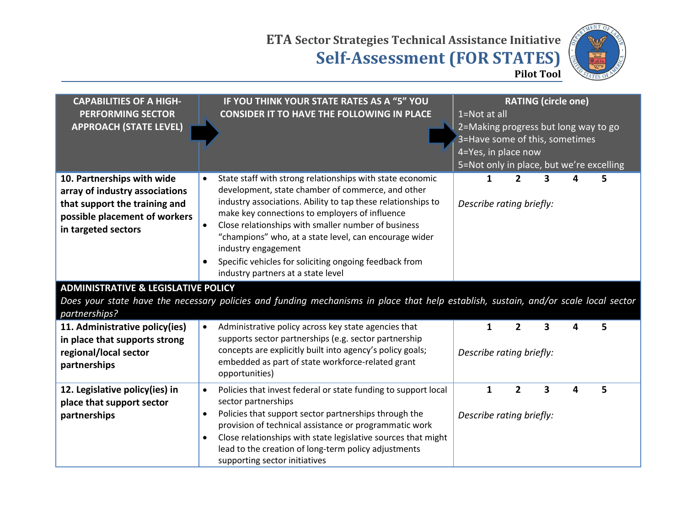

| <b>CAPABILITIES OF A HIGH-</b><br><b>PERFORMING SECTOR</b><br><b>APPROACH (STATE LEVEL)</b>                                                                                                             | IF YOU THINK YOUR STATE RATES AS A "5" YOU<br><b>CONSIDER IT TO HAVE THE FOLLOWING IN PLACE</b>                                                                                                                                                                                                                                                                                                                                                                                       | <b>RATING (circle one)</b><br>1=Not at all<br>2=Making progress but long way to go<br>3=Have some of this, sometimes<br>4=Yes, in place now<br>5=Not only in place, but we're excelling |
|---------------------------------------------------------------------------------------------------------------------------------------------------------------------------------------------------------|---------------------------------------------------------------------------------------------------------------------------------------------------------------------------------------------------------------------------------------------------------------------------------------------------------------------------------------------------------------------------------------------------------------------------------------------------------------------------------------|-----------------------------------------------------------------------------------------------------------------------------------------------------------------------------------------|
| 10. Partnerships with wide<br>array of industry associations<br>that support the training and<br>possible placement of workers<br>in targeted sectors<br><b>ADMINISTRATIVE &amp; LEGISLATIVE POLICY</b> | State staff with strong relationships with state economic<br>$\bullet$<br>development, state chamber of commerce, and other<br>industry associations. Ability to tap these relationships to<br>make key connections to employers of influence<br>Close relationships with smaller number of business<br>"champions" who, at a state level, can encourage wider<br>industry engagement<br>Specific vehicles for soliciting ongoing feedback from<br>industry partners at a state level | 2<br>3<br>1<br>5.<br>Describe rating briefly:                                                                                                                                           |
| partnerships?                                                                                                                                                                                           | Does your state have the necessary policies and funding mechanisms in place that help establish, sustain, and/or scale local sector                                                                                                                                                                                                                                                                                                                                                   |                                                                                                                                                                                         |
| 11. Administrative policy(ies)<br>in place that supports strong<br>regional/local sector<br>partnerships                                                                                                | Administrative policy across key state agencies that<br>$\bullet$<br>supports sector partnerships (e.g. sector partnership<br>concepts are explicitly built into agency's policy goals;<br>embedded as part of state workforce-related grant<br>opportunities)                                                                                                                                                                                                                        | $\overline{2}$<br>3<br>5<br>1<br>4<br>Describe rating briefly:                                                                                                                          |
| 12. Legislative policy(ies) in<br>place that support sector<br>partnerships                                                                                                                             | Policies that invest federal or state funding to support local<br>$\bullet$<br>sector partnerships<br>Policies that support sector partnerships through the<br>$\bullet$<br>provision of technical assistance or programmatic work<br>Close relationships with state legislative sources that might<br>lead to the creation of long-term policy adjustments<br>supporting sector initiatives                                                                                          | 2<br>3<br>5<br>1<br>4<br>Describe rating briefly:                                                                                                                                       |